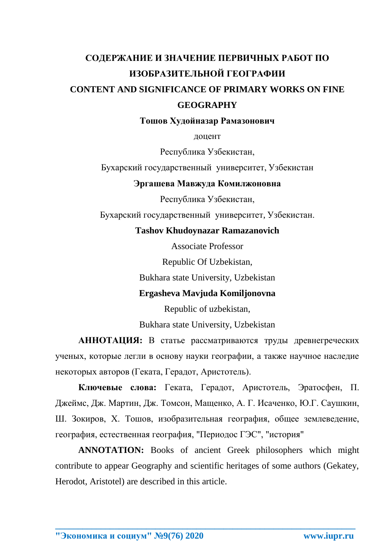# **СОДЕРЖАНИЕ И ЗНАЧЕНИЕ ПЕРВИЧНЫХ РАБОТ ПО ИЗОБРАЗИТЕЛЬНОЙ ГЕОГРАФИИ CONTENT AND SIGNIFICANCE OF PRIMARY WORKS ON FINE GEOGRAPHY**

**Тошов Худойназар Рамазонович**

доцент

Республика Узбекистан,

Бухарский государственный университет, Узбекистан

## **Эргашева Мавжуда Комилжоновна**

Республика Узбекистан,

Бухарский государственный университет, Узбекистан.

## **Tashov Khudoynazar Ramazanovich**

Associate Professor

Republic Of Uzbekistan,

Bukhara state University, Uzbekistan

## **Ergasheva Mavjuda Komiljonovna**

Republic of uzbekistan,

Bukhara state University, Uzbekistan

**АННОТАЦИЯ:** В статье рассматриваются труды древнегреческих ученых, которые легли в основу науки географии, а также научное наследие некоторых авторов (Геката, Герадот, Аристотель).

**Ключевые слова:** Геката, Герадот, Аристотель, Эратосфен, П. Джеймс, Дж. Мартин, Дж. Томсон, Мащенко, А. Г. Исаченко, Ю.Г. Саушкин, Ш. Зокиров, Х. Тошов, изобразительная география, общее землеведение, география, естественная география, "Периодос ГЭС", "история"

**ANNOTATION:** Books of ancient Greek philosophers which might contribute to appear Geography and scientific heritages of some authors (Gekatey, Herodot, Aristotel) are described in this article.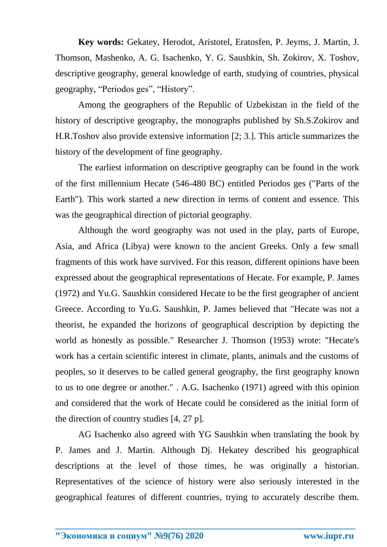**Key words:** Gekatey, Herodot, Aristotel, Eratosfen, P. Jeyms, J. Martin, J. Thomson, Mashenko, A. G. Isachenko, Y. G. Saushkin, Sh. Zokirov, X. Toshov, descriptive geography, general knowledge of earth, studying of countries, physical geography, "Periodos ges", "History".

Among the geographers of the Republic of Uzbekistan in the field of the history of descriptive geography, the monographs published by Sh.S.Zokirov and H.R.Toshov also provide extensive information [2; 3.]. This article summarizes the history of the development of fine geography.

The earliest information on descriptive geography can be found in the work of the first millennium Hecate (546-480 BC) entitled Periodos ges ("Parts of the Earth"). This work started a new direction in terms of content and essence. This was the geographical direction of pictorial geography.

Although the word geography was not used in the play, parts of Europe, Asia, and Africa (Libya) were known to the ancient Greeks. Only a few small fragments of this work have survived. For this reason, different opinions have been expressed about the geographical representations of Hecate. For example, P. James (1972) and Yu.G. Saushkin considered Hecate to be the first geographer of ancient Greece. According to Yu.G. Saushkin, P. James believed that "Hecate was not a theorist, he expanded the horizons of geographical description by depicting the world as honestly as possible." Researcher J. Thomson (1953) wrote: "Hecate's work has a certain scientific interest in climate, plants, animals and the customs of peoples, so it deserves to be called general geography, the first geography known to us to one degree or another." . A.G. Isachenko (1971) agreed with this opinion and considered that the work of Hecate could be considered as the initial form of the direction of country studies [4, 27 p].

AG Isachenko also agreed with YG Saushkin when translating the book by P. James and J. Martin. Although Dj. Hekatey described his geographical descriptions at the level of those times, he was originally a historian. Representatives of the science of history were also seriously interested in the geographical features of different countries, trying to accurately describe them.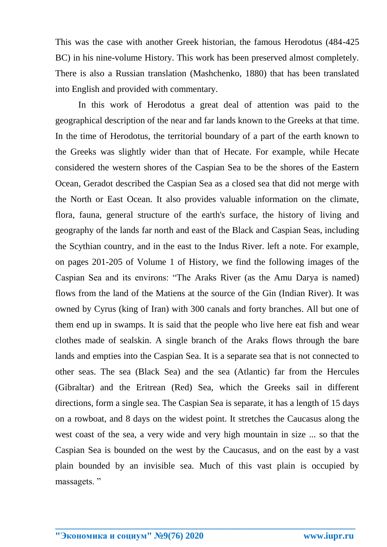This was the case with another Greek historian, the famous Herodotus (484-425 BC) in his nine-volume History. This work has been preserved almost completely. There is also a Russian translation (Mashchenko, 1880) that has been translated into English and provided with commentary.

In this work of Herodotus a great deal of attention was paid to the geographical description of the near and far lands known to the Greeks at that time. In the time of Herodotus, the territorial boundary of a part of the earth known to the Greeks was slightly wider than that of Hecate. For example, while Hecate considered the western shores of the Caspian Sea to be the shores of the Eastern Ocean, Geradot described the Caspian Sea as a closed sea that did not merge with the North or East Ocean. It also provides valuable information on the climate, flora, fauna, general structure of the earth's surface, the history of living and geography of the lands far north and east of the Black and Caspian Seas, including the Scythian country, and in the east to the Indus River. left a note. For example, on pages 201-205 of Volume 1 of History, we find the following images of the Caspian Sea and its environs: "The Araks River (as the Amu Darya is named) flows from the land of the Matiens at the source of the Gin (Indian River). It was owned by Cyrus (king of Iran) with 300 canals and forty branches. All but one of them end up in swamps. It is said that the people who live here eat fish and wear clothes made of sealskin. A single branch of the Araks flows through the bare lands and empties into the Caspian Sea. It is a separate sea that is not connected to other seas. The sea (Black Sea) and the sea (Atlantic) far from the Hercules (Gibraltar) and the Eritrean (Red) Sea, which the Greeks sail in different directions, form a single sea. The Caspian Sea is separate, it has a length of 15 days on a rowboat, and 8 days on the widest point. It stretches the Caucasus along the west coast of the sea, a very wide and very high mountain in size ... so that the Caspian Sea is bounded on the west by the Caucasus, and on the east by a vast plain bounded by an invisible sea. Much of this vast plain is occupied by massagets. "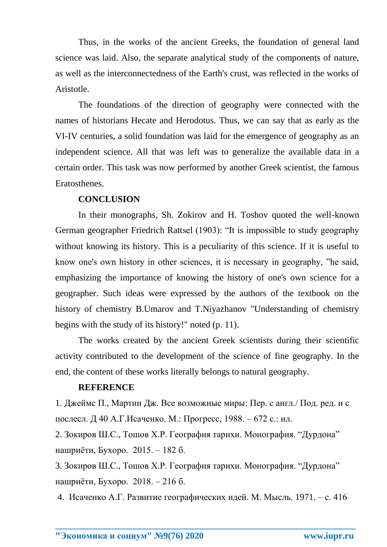Thus, in the works of the ancient Greeks, the foundation of general land science was laid. Also, the separate analytical study of the components of nature, as well as the interconnectedness of the Earth's crust, was reflected in the works of Aristotle.

The foundations of the direction of geography were connected with the names of historians Hecate and Herodotus. Thus, we can say that as early as the VI-IV centuries, a solid foundation was laid for the emergence of geography as an independent science. All that was left was to generalize the available data in a certain order. This task was now performed by another Greek scientist, the famous Eratosthenes.

## **CONCLUSION**

In their monographs, Sh. Zokirov and H. Toshov quoted the well-known German geographer Friedrich Rattsel (1903): "It is impossible to study geography without knowing its history. This is a peculiarity of this science. If it is useful to know one's own history in other sciences, it is necessary in geography, "he said, emphasizing the importance of knowing the history of one's own science for a geographer. Such ideas were expressed by the authors of the textbook on the history of chemistry B.Umarov and T.Niyazhanov "Understanding of chemistry begins with the study of its history!" noted (p. 11).

The works created by the ancient Greek scientists during their scientific activity contributed to the development of the science of fine geography. In the end, the content of these works literally belongs to natural geography.

#### **REFERENCE**

1. Джеймс П., Мартин Дж. Все возможные миры: Пер. с англ./ Под. ред. и с послесл. Д 40 А.Г.Исаченко. М.: Прогресс, 1988. – 672 с.: ил.

2. Зокиров Ш.С., Тошов Х.Р. География тарихи. Монография. "Дурдона" нашриёти, Бухоро. 2015. – 182 б.

3. Зокиров Ш.С., Тошов Х.Р. География тарихи. Монография. "Дурдона" нашриёти, Бухоро. 2018. – 216 б.

4. Исаченко А.Г. Развитие географических идей. М. Мысль. 1971. – с. 416